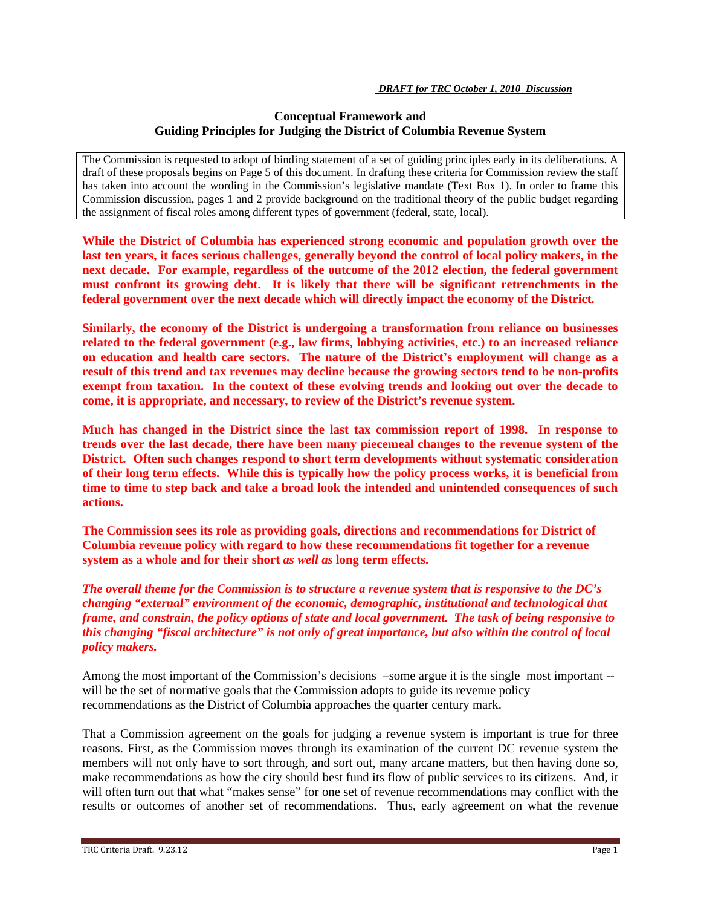# **Conceptual Framework and Guiding Principles for Judging the District of Columbia Revenue System**

The Commission is requested to adopt of binding statement of a set of guiding principles early in its deliberations. A draft of these proposals begins on Page 5 of this document. In drafting these criteria for Commission review the staff has taken into account the wording in the Commission's legislative mandate (Text Box 1). In order to frame this Commission discussion, pages 1 and 2 provide background on the traditional theory of the public budget regarding the assignment of fiscal roles among different types of government (federal, state, local).

**While the District of Columbia has experienced strong economic and population growth over the last ten years, it faces serious challenges, generally beyond the control of local policy makers, in the next decade. For example, regardless of the outcome of the 2012 election, the federal government must confront its growing debt. It is likely that there will be significant retrenchments in the federal government over the next decade which will directly impact the economy of the District.** 

**Similarly, the economy of the District is undergoing a transformation from reliance on businesses related to the federal government (e.g., law firms, lobbying activities, etc.) to an increased reliance on education and health care sectors. The nature of the District's employment will change as a result of this trend and tax revenues may decline because the growing sectors tend to be non-profits exempt from taxation. In the context of these evolving trends and looking out over the decade to come, it is appropriate, and necessary, to review of the District's revenue system.** 

**Much has changed in the District since the last tax commission report of 1998. In response to trends over the last decade, there have been many piecemeal changes to the revenue system of the District. Often such changes respond to short term developments without systematic consideration of their long term effects. While this is typically how the policy process works, it is beneficial from time to time to step back and take a broad look the intended and unintended consequences of such actions.** 

**The Commission sees its role as providing goals, directions and recommendations for District of Columbia revenue policy with regard to how these recommendations fit together for a revenue system as a whole and for their short** *as well as* **long term effects.** 

*The overall theme for the Commission is to structure a revenue system that is responsive to the DC's changing "external" environment of the economic, demographic, institutional and technological that frame, and constrain, the policy options of state and local government. The task of being responsive to this changing "fiscal architecture" is not only of great importance, but also within the control of local policy makers.* 

Among the most important of the Commission's decisions –some argue it is the single most important - will be the set of normative goals that the Commission adopts to guide its revenue policy recommendations as the District of Columbia approaches the quarter century mark.

That a Commission agreement on the goals for judging a revenue system is important is true for three reasons. First, as the Commission moves through its examination of the current DC revenue system the members will not only have to sort through, and sort out, many arcane matters, but then having done so, make recommendations as how the city should best fund its flow of public services to its citizens. And, it will often turn out that what "makes sense" for one set of revenue recommendations may conflict with the results or outcomes of another set of recommendations. Thus, early agreement on what the revenue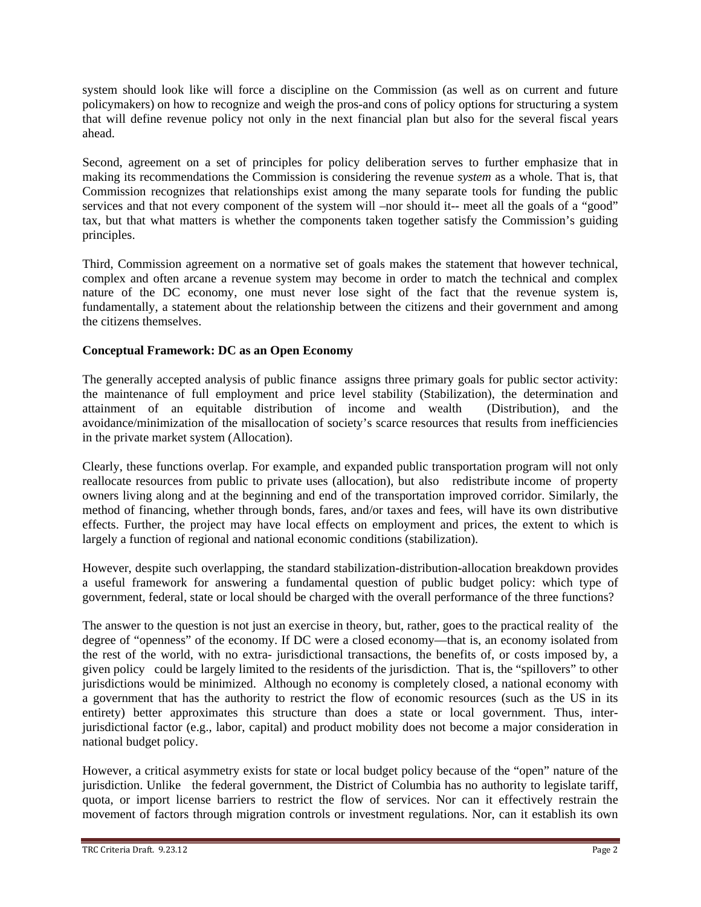system should look like will force a discipline on the Commission (as well as on current and future policymakers) on how to recognize and weigh the pros-and cons of policy options for structuring a system that will define revenue policy not only in the next financial plan but also for the several fiscal years ahead.

Second, agreement on a set of principles for policy deliberation serves to further emphasize that in making its recommendations the Commission is considering the revenue *system* as a whole. That is, that Commission recognizes that relationships exist among the many separate tools for funding the public services and that not every component of the system will –nor should it-- meet all the goals of a "good" tax, but that what matters is whether the components taken together satisfy the Commission's guiding principles.

Third, Commission agreement on a normative set of goals makes the statement that however technical, complex and often arcane a revenue system may become in order to match the technical and complex nature of the DC economy, one must never lose sight of the fact that the revenue system is, fundamentally, a statement about the relationship between the citizens and their government and among the citizens themselves.

# **Conceptual Framework: DC as an Open Economy**

The generally accepted analysis of public finance assigns three primary goals for public sector activity: the maintenance of full employment and price level stability (Stabilization), the determination and attainment of an equitable distribution of income and wealth (Distribution), and the avoidance/minimization of the misallocation of society's scarce resources that results from inefficiencies in the private market system (Allocation).

Clearly, these functions overlap. For example, and expanded public transportation program will not only reallocate resources from public to private uses (allocation), but also redistribute income of property owners living along and at the beginning and end of the transportation improved corridor. Similarly, the method of financing, whether through bonds, fares, and/or taxes and fees, will have its own distributive effects. Further, the project may have local effects on employment and prices, the extent to which is largely a function of regional and national economic conditions (stabilization).

However, despite such overlapping, the standard stabilization-distribution-allocation breakdown provides a useful framework for answering a fundamental question of public budget policy: which type of government, federal, state or local should be charged with the overall performance of the three functions?

The answer to the question is not just an exercise in theory, but, rather, goes to the practical reality of the degree of "openness" of the economy. If DC were a closed economy—that is, an economy isolated from the rest of the world, with no extra- jurisdictional transactions, the benefits of, or costs imposed by, a given policy could be largely limited to the residents of the jurisdiction. That is, the "spillovers" to other jurisdictions would be minimized. Although no economy is completely closed, a national economy with a government that has the authority to restrict the flow of economic resources (such as the US in its entirety) better approximates this structure than does a state or local government. Thus, interjurisdictional factor (e.g., labor, capital) and product mobility does not become a major consideration in national budget policy.

However, a critical asymmetry exists for state or local budget policy because of the "open" nature of the jurisdiction. Unlike the federal government, the District of Columbia has no authority to legislate tariff, quota, or import license barriers to restrict the flow of services. Nor can it effectively restrain the movement of factors through migration controls or investment regulations. Nor, can it establish its own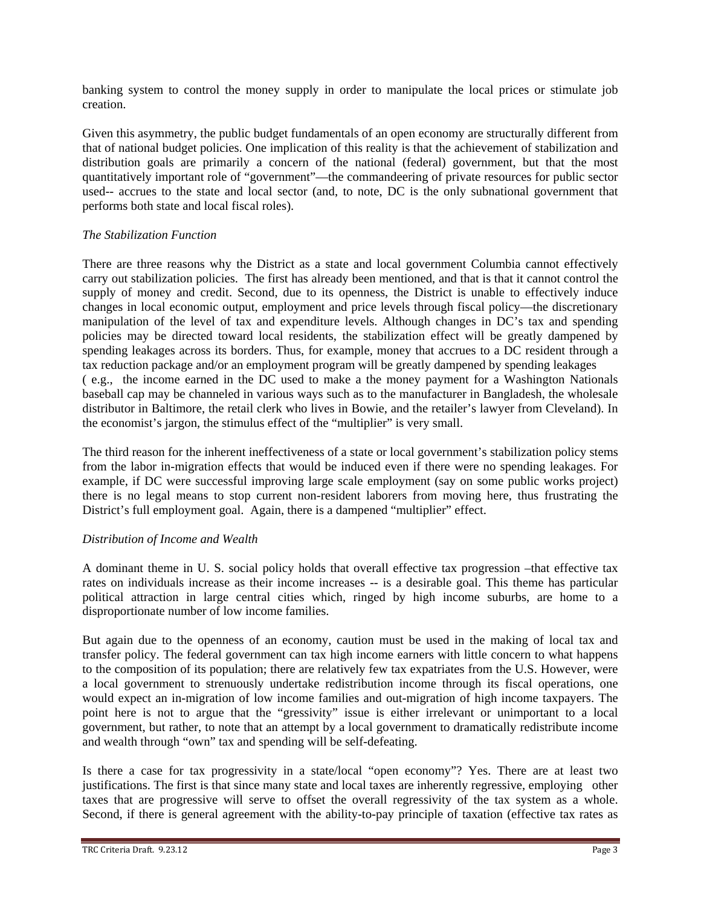banking system to control the money supply in order to manipulate the local prices or stimulate job creation.

Given this asymmetry, the public budget fundamentals of an open economy are structurally different from that of national budget policies. One implication of this reality is that the achievement of stabilization and distribution goals are primarily a concern of the national (federal) government, but that the most quantitatively important role of "government"—the commandeering of private resources for public sector used-- accrues to the state and local sector (and, to note, DC is the only subnational government that performs both state and local fiscal roles).

## *The Stabilization Function*

There are three reasons why the District as a state and local government Columbia cannot effectively carry out stabilization policies. The first has already been mentioned, and that is that it cannot control the supply of money and credit. Second, due to its openness, the District is unable to effectively induce changes in local economic output, employment and price levels through fiscal policy—the discretionary manipulation of the level of tax and expenditure levels. Although changes in DC's tax and spending policies may be directed toward local residents, the stabilization effect will be greatly dampened by spending leakages across its borders. Thus, for example, money that accrues to a DC resident through a tax reduction package and/or an employment program will be greatly dampened by spending leakages ( e.g., the income earned in the DC used to make a the money payment for a Washington Nationals baseball cap may be channeled in various ways such as to the manufacturer in Bangladesh, the wholesale distributor in Baltimore, the retail clerk who lives in Bowie, and the retailer's lawyer from Cleveland). In the economist's jargon, the stimulus effect of the "multiplier" is very small.

The third reason for the inherent ineffectiveness of a state or local government's stabilization policy stems from the labor in-migration effects that would be induced even if there were no spending leakages. For example, if DC were successful improving large scale employment (say on some public works project) there is no legal means to stop current non-resident laborers from moving here, thus frustrating the District's full employment goal. Again, there is a dampened "multiplier" effect.

# *Distribution of Income and Wealth*

A dominant theme in U. S. social policy holds that overall effective tax progression –that effective tax rates on individuals increase as their income increases -- is a desirable goal. This theme has particular political attraction in large central cities which, ringed by high income suburbs, are home to a disproportionate number of low income families.

But again due to the openness of an economy, caution must be used in the making of local tax and transfer policy. The federal government can tax high income earners with little concern to what happens to the composition of its population; there are relatively few tax expatriates from the U.S. However, were a local government to strenuously undertake redistribution income through its fiscal operations, one would expect an in-migration of low income families and out-migration of high income taxpayers. The point here is not to argue that the "gressivity" issue is either irrelevant or unimportant to a local government, but rather, to note that an attempt by a local government to dramatically redistribute income and wealth through "own" tax and spending will be self-defeating.

Is there a case for tax progressivity in a state/local "open economy"? Yes. There are at least two justifications. The first is that since many state and local taxes are inherently regressive, employing other taxes that are progressive will serve to offset the overall regressivity of the tax system as a whole. Second, if there is general agreement with the ability-to-pay principle of taxation (effective tax rates as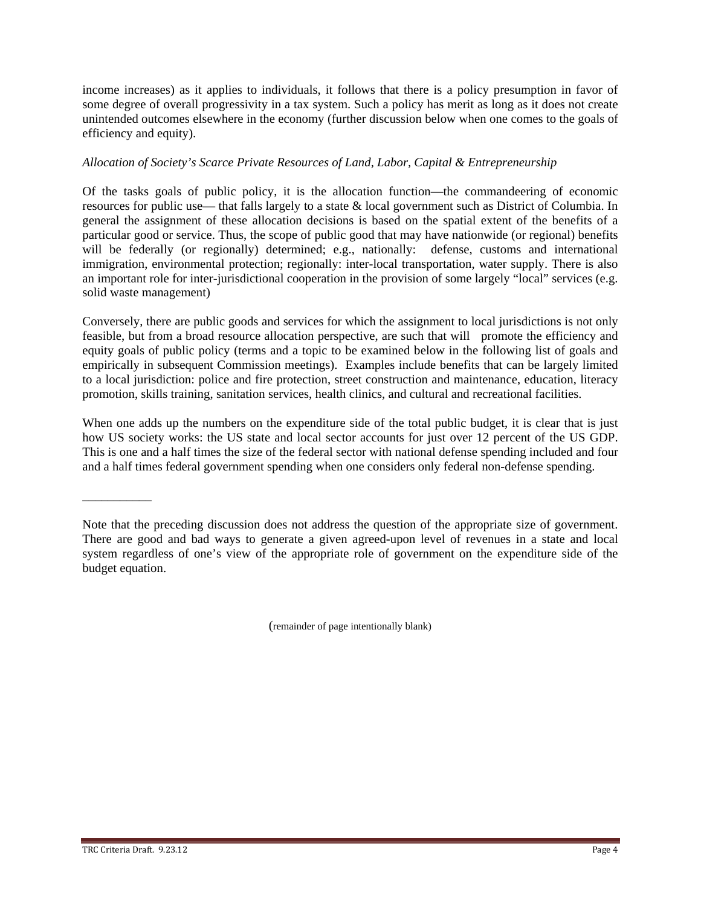income increases) as it applies to individuals, it follows that there is a policy presumption in favor of some degree of overall progressivity in a tax system. Such a policy has merit as long as it does not create unintended outcomes elsewhere in the economy (further discussion below when one comes to the goals of efficiency and equity).

## *Allocation of Society's Scarce Private Resources of Land, Labor, Capital & Entrepreneurship*

Of the tasks goals of public policy, it is the allocation function—the commandeering of economic resources for public use— that falls largely to a state & local government such as District of Columbia. In general the assignment of these allocation decisions is based on the spatial extent of the benefits of a particular good or service. Thus, the scope of public good that may have nationwide (or regional) benefits will be federally (or regionally) determined; e.g., nationally: defense, customs and international immigration, environmental protection; regionally: inter-local transportation, water supply. There is also an important role for inter-jurisdictional cooperation in the provision of some largely "local" services (e.g. solid waste management)

Conversely, there are public goods and services for which the assignment to local jurisdictions is not only feasible, but from a broad resource allocation perspective, are such that will promote the efficiency and equity goals of public policy (terms and a topic to be examined below in the following list of goals and empirically in subsequent Commission meetings). Examples include benefits that can be largely limited to a local jurisdiction: police and fire protection, street construction and maintenance, education, literacy promotion, skills training, sanitation services, health clinics, and cultural and recreational facilities.

When one adds up the numbers on the expenditure side of the total public budget, it is clear that is just how US society works: the US state and local sector accounts for just over 12 percent of the US GDP. This is one and a half times the size of the federal sector with national defense spending included and four and a half times federal government spending when one considers only federal non-defense spending.

(remainder of page intentionally blank)

\_\_\_\_\_\_\_\_\_\_\_

Note that the preceding discussion does not address the question of the appropriate size of government. There are good and bad ways to generate a given agreed-upon level of revenues in a state and local system regardless of one's view of the appropriate role of government on the expenditure side of the budget equation.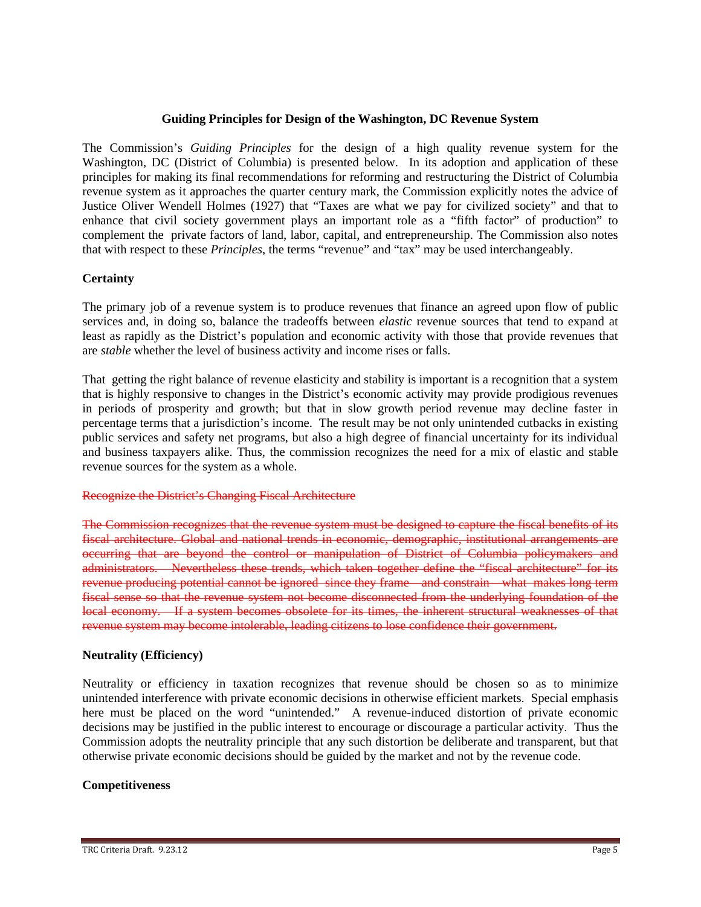#### **Guiding Principles for Design of the Washington, DC Revenue System**

The Commission's *Guiding Principles* for the design of a high quality revenue system for the Washington, DC (District of Columbia) is presented below. In its adoption and application of these principles for making its final recommendations for reforming and restructuring the District of Columbia revenue system as it approaches the quarter century mark, the Commission explicitly notes the advice of Justice Oliver Wendell Holmes (1927) that "Taxes are what we pay for civilized society" and that to enhance that civil society government plays an important role as a "fifth factor" of production" to complement the private factors of land, labor, capital, and entrepreneurship. The Commission also notes that with respect to these *Principles*, the terms "revenue" and "tax" may be used interchangeably.

## **Certainty**

The primary job of a revenue system is to produce revenues that finance an agreed upon flow of public services and, in doing so, balance the tradeoffs between *elastic* revenue sources that tend to expand at least as rapidly as the District's population and economic activity with those that provide revenues that are *stable* whether the level of business activity and income rises or falls.

That getting the right balance of revenue elasticity and stability is important is a recognition that a system that is highly responsive to changes in the District's economic activity may provide prodigious revenues in periods of prosperity and growth; but that in slow growth period revenue may decline faster in percentage terms that a jurisdiction's income. The result may be not only unintended cutbacks in existing public services and safety net programs, but also a high degree of financial uncertainty for its individual and business taxpayers alike. Thus, the commission recognizes the need for a mix of elastic and stable revenue sources for the system as a whole.

#### Recognize the District's Changing Fiscal Architecture

The Commission recognizes that the revenue system must be designed to capture the fiscal benefits of its fiscal architecture. Global and national trends in economic, demographic, institutional arrangements are occurring that are beyond the control or manipulation of District of Columbia policymakers and administrators. Nevertheless these trends, which taken together define the "fiscal architecture" for its revenue producing potential cannot be ignored since they frame—and constrain—what makes long term fiscal sense so that the revenue system not become disconnected from the underlying foundation of the local economy. If a system becomes obsolete for its times, the inherent structural weaknesses of that revenue system may become intolerable, leading citizens to lose confidence their government.

#### **Neutrality (Efficiency)**

Neutrality or efficiency in taxation recognizes that revenue should be chosen so as to minimize unintended interference with private economic decisions in otherwise efficient markets. Special emphasis here must be placed on the word "unintended." A revenue-induced distortion of private economic decisions may be justified in the public interest to encourage or discourage a particular activity. Thus the Commission adopts the neutrality principle that any such distortion be deliberate and transparent, but that otherwise private economic decisions should be guided by the market and not by the revenue code.

## **Competitiveness**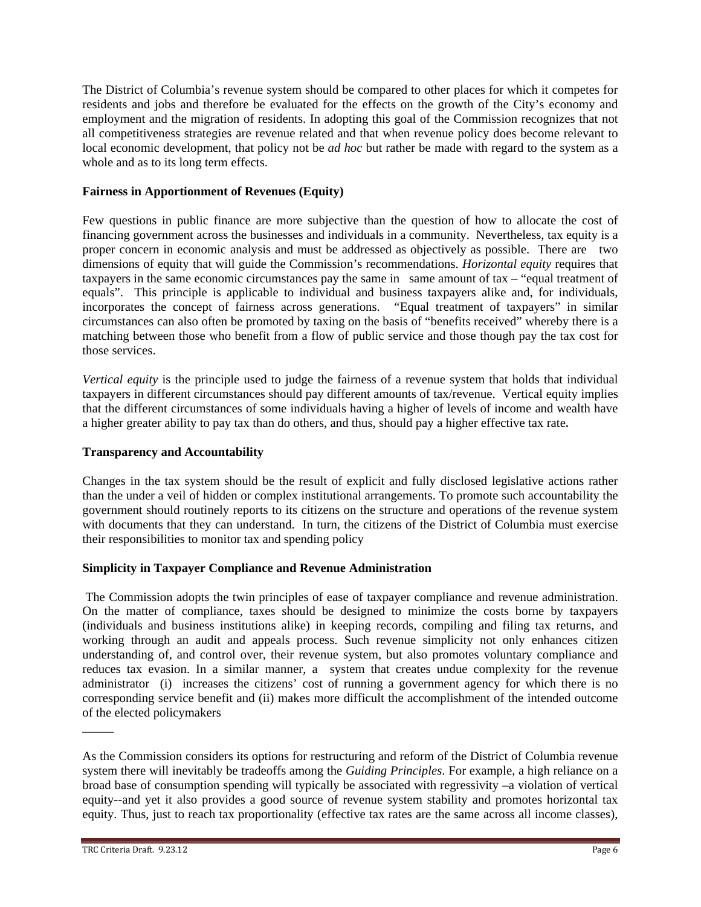The District of Columbia's revenue system should be compared to other places for which it competes for residents and jobs and therefore be evaluated for the effects on the growth of the City's economy and employment and the migration of residents. In adopting this goal of the Commission recognizes that not all competitiveness strategies are revenue related and that when revenue policy does become relevant to local economic development, that policy not be *ad hoc* but rather be made with regard to the system as a whole and as to its long term effects.

# **Fairness in Apportionment of Revenues (Equity)**

Few questions in public finance are more subjective than the question of how to allocate the cost of financing government across the businesses and individuals in a community. Nevertheless, tax equity is a proper concern in economic analysis and must be addressed as objectively as possible. There are two dimensions of equity that will guide the Commission's recommendations. *Horizontal equity* requires that taxpayers in the same economic circumstances pay the same in same amount of tax – "equal treatment of equals". This principle is applicable to individual and business taxpayers alike and, for individuals, incorporates the concept of fairness across generations. *"*Equal treatment of taxpayers" in similar circumstances can also often be promoted by taxing on the basis of "benefits received" whereby there is a matching between those who benefit from a flow of public service and those though pay the tax cost for those services.

*Vertical equity* is the principle used to judge the fairness of a revenue system that holds that individual taxpayers in different circumstances should pay different amounts of tax/revenue. Vertical equity implies that the different circumstances of some individuals having a higher of levels of income and wealth have a higher greater ability to pay tax than do others, and thus, should pay a higher effective tax rate**.**

## **Transparency and Accountability**

Changes in the tax system should be the result of explicit and fully disclosed legislative actions rather than the under a veil of hidden or complex institutional arrangements. To promote such accountability the government should routinely reports to its citizens on the structure and operations of the revenue system with documents that they can understand. In turn, the citizens of the District of Columbia must exercise their responsibilities to monitor tax and spending policy

## **Simplicity in Taxpayer Compliance and Revenue Administration**

 The Commission adopts the twin principles of ease of taxpayer compliance and revenue administration. On the matter of compliance, taxes should be designed to minimize the costs borne by taxpayers (individuals and business institutions alike) in keeping records, compiling and filing tax returns, and working through an audit and appeals process. Such revenue simplicity not only enhances citizen understanding of, and control over, their revenue system, but also promotes voluntary compliance and reduces tax evasion. In a similar manner, a system that creates undue complexity for the revenue administrator (i) increases the citizens' cost of running a government agency for which there is no corresponding service benefit and (ii) makes more difficult the accomplishment of the intended outcome of the elected policymakers

As the Commission considers its options for restructuring and reform of the District of Columbia revenue system there will inevitably be tradeoffs among the *Guiding Principles*. For example, a high reliance on a broad base of consumption spending will typically be associated with regressivity –a violation of vertical equity--and yet it also provides a good source of revenue system stability and promotes horizontal tax equity. Thus, just to reach tax proportionality (effective tax rates are the same across all income classes),

 $\overline{\phantom{a}}$